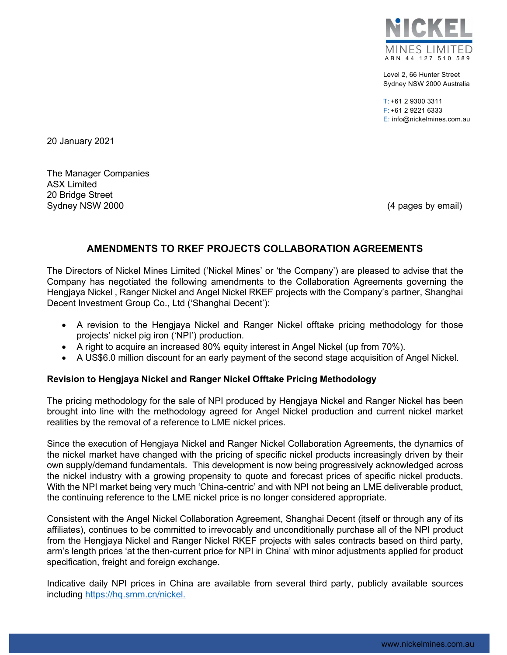

Level 2, 66 Hunter Street Sydney NSW 2000 Australia

 $T: +61$  2 9300 3311 F: +61 2 9221 6333 E: info@nickelmines.com.au

20 January 2021

The Manager Companies ASX Limited 20 Bridge Street Sydney NSW 2000 **(4 pages by email)** Sydney NSW 2000

# AMENDMENTS TO RKEF PROJECTS COLLABORATION AGREEMENTS

The Directors of Nickel Mines Limited ('Nickel Mines' or 'the Company') are pleased to advise that the Company has negotiated the following amendments to the Collaboration Agreements governing the Hengjaya Nickel , Ranger Nickel and Angel Nickel RKEF projects with the Company's partner, Shanghai Decent Investment Group Co., Ltd ('Shanghai Decent'):

- A revision to the Hengjaya Nickel and Ranger Nickel offtake pricing methodology for those projects' nickel pig iron ('NPI') production.
- A right to acquire an increased 80% equity interest in Angel Nickel (up from 70%).
- A US\$6.0 million discount for an early payment of the second stage acquisition of Angel Nickel.

# Revision to Hengjaya Nickel and Ranger Nickel Offtake Pricing Methodology

The pricing methodology for the sale of NPI produced by Hengjaya Nickel and Ranger Nickel has been brought into line with the methodology agreed for Angel Nickel production and current nickel market realities by the removal of a reference to LME nickel prices.

Since the execution of Hengjaya Nickel and Ranger Nickel Collaboration Agreements, the dynamics of the nickel market have changed with the pricing of specific nickel products increasingly driven by their own supply/demand fundamentals. This development is now being progressively acknowledged across the nickel industry with a growing propensity to quote and forecast prices of specific nickel products. With the NPI market being very much 'China-centric' and with NPI not being an LME deliverable product, the continuing reference to the LME nickel price is no longer considered appropriate.

Consistent with the Angel Nickel Collaboration Agreement, Shanghai Decent (itself or through any of its affiliates), continues to be committed to irrevocably and unconditionally purchase all of the NPI product from the Hengjaya Nickel and Ranger Nickel RKEF projects with sales contracts based on third party, arm's length prices 'at the then-current price for NPI in China' with minor adjustments applied for product specification, freight and foreign exchange.

Indicative daily NPI prices in China are available from several third party, publicly available sources including https://hq.smm.cn/nickel.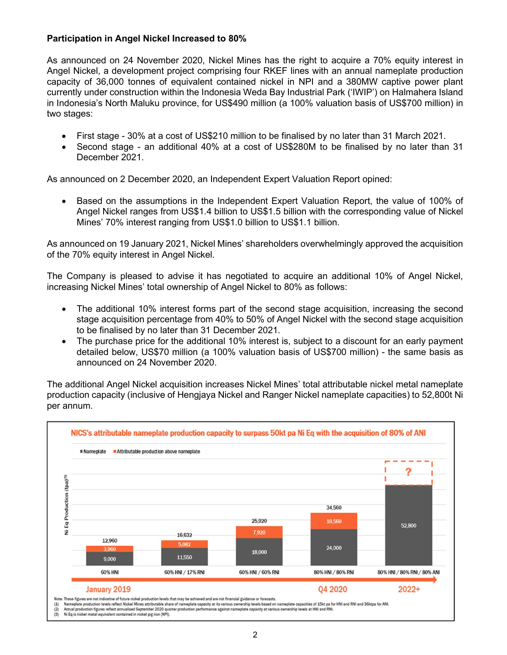# Participation in Angel Nickel Increased to 80%

As announced on 24 November 2020, Nickel Mines has the right to acquire a 70% equity interest in Angel Nickel, a development project comprising four RKEF lines with an annual nameplate production capacity of 36,000 tonnes of equivalent contained nickel in NPI and a 380MW captive power plant currently under construction within the Indonesia Weda Bay Industrial Park ('IWIP') on Halmahera Island in Indonesia's North Maluku province, for US\$490 million (a 100% valuation basis of US\$700 million) in two stages:

- First stage 30% at a cost of US\$210 million to be finalised by no later than 31 March 2021.
- Second stage an additional 40% at a cost of US\$280M to be finalised by no later than 31 December 2021.

As announced on 2 December 2020, an Independent Expert Valuation Report opined:

 Based on the assumptions in the Independent Expert Valuation Report, the value of 100% of Angel Nickel ranges from US\$1.4 billion to US\$1.5 billion with the corresponding value of Nickel Mines' 70% interest ranging from US\$1.0 billion to US\$1.1 billion.

As announced on 19 January 2021, Nickel Mines' shareholders overwhelmingly approved the acquisition of the 70% equity interest in Angel Nickel.

The Company is pleased to advise it has negotiated to acquire an additional 10% of Angel Nickel, increasing Nickel Mines' total ownership of Angel Nickel to 80% as follows:

- The additional 10% interest forms part of the second stage acquisition, increasing the second stage acquisition percentage from 40% to 50% of Angel Nickel with the second stage acquisition to be finalised by no later than 31 December 2021.
- The purchase price for the additional 10% interest is, subject to a discount for an early payment detailed below, US\$70 million (a 100% valuation basis of US\$700 million) - the same basis as announced on 24 November 2020.

The additional Angel Nickel acquisition increases Nickel Mines' total attributable nickel metal nameplate production capacity (inclusive of Hengjaya Nickel and Ranger Nickel nameplate capacities) to 52,800t Ni per annum.



 $(1)$ <br> $(2)$ <br> $(3)$ Nameplate production levels reflect Nickel Mines attributable share of nameplate capacity at its various ownership levels based on nameplate capacities of 15kt pa for HNI and RNI and S6ktpa for ANI.<br>Actual production figur

Ni Eq is nickel metal equivalent contained in nickel pig iron (NPI).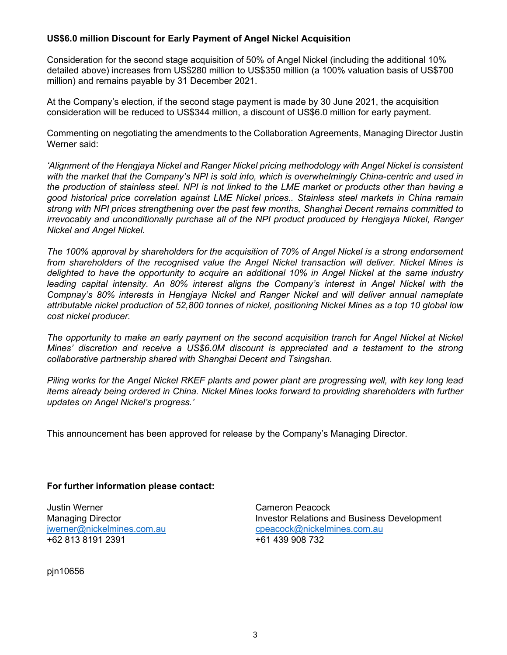# US\$6.0 million Discount for Early Payment of Angel Nickel Acquisition

Consideration for the second stage acquisition of 50% of Angel Nickel (including the additional 10% detailed above) increases from US\$280 million to US\$350 million (a 100% valuation basis of US\$700 million) and remains payable by 31 December 2021.

At the Company's election, if the second stage payment is made by 30 June 2021, the acquisition consideration will be reduced to US\$344 million, a discount of US\$6.0 million for early payment.

Commenting on negotiating the amendments to the Collaboration Agreements, Managing Director Justin Werner said:

'Alignment of the Hengjaya Nickel and Ranger Nickel pricing methodology with Angel Nickel is consistent with the market that the Company's NPI is sold into, which is overwhelmingly China-centric and used in the production of stainless steel. NPI is not linked to the LME market or products other than having a good historical price correlation against LME Nickel prices.. Stainless steel markets in China remain strong with NPI prices strengthening over the past few months, Shanghai Decent remains committed to irrevocably and unconditionally purchase all of the NPI product produced by Hengjaya Nickel, Ranger Nickel and Angel Nickel.

The 100% approval by shareholders for the acquisition of 70% of Angel Nickel is a strong endorsement from shareholders of the recognised value the Angel Nickel transaction will deliver. Nickel Mines is delighted to have the opportunity to acquire an additional 10% in Angel Nickel at the same industry leading capital intensity. An 80% interest aligns the Company's interest in Angel Nickel with the Compnay's 80% interests in Hengjaya Nickel and Ranger Nickel and will deliver annual nameplate attributable nickel production of 52,800 tonnes of nickel, positioning Nickel Mines as a top 10 global low cost nickel producer.

The opportunity to make an early payment on the second acquisition tranch for Angel Nickel at Nickel Mines' discretion and receive a US\$6.0M discount is appreciated and a testament to the strong collaborative partnership shared with Shanghai Decent and Tsingshan.

Piling works for the Angel Nickel RKEF plants and power plant are progressing well, with key long lead items already being ordered in China. Nickel Mines looks forward to providing shareholders with further updates on Angel Nickel's progress.'

This announcement has been approved for release by the Company's Managing Director.

# For further information please contact:

Justin Werner Cameron Peacock +62 813 8191 2391 +61 439 908 732

pjn10656

Managing Director **Investor Relations and Business Development** jwerner@nickelmines.com.au cpeacock@nickelmines.com.au